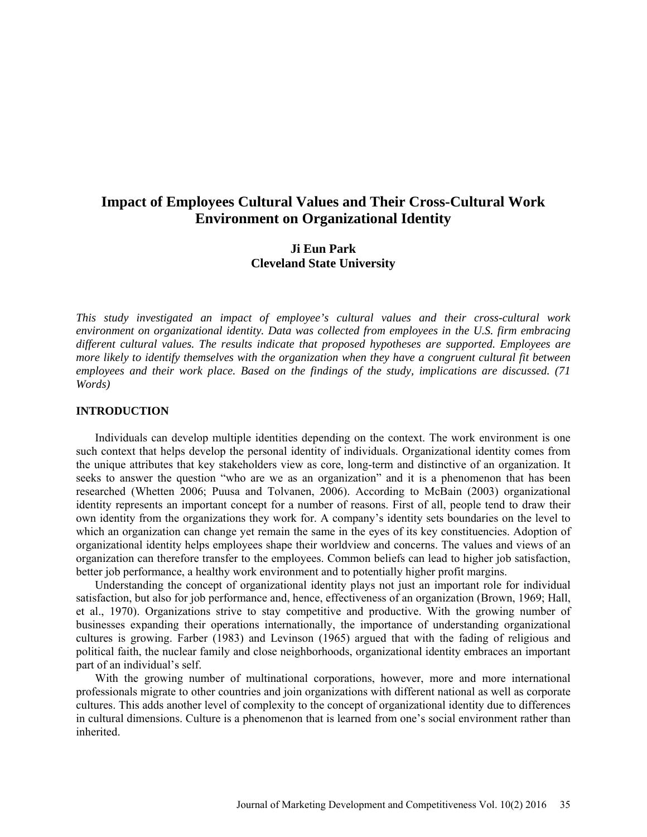# **Impact of Employees Cultural Values and Their Cross-Cultural Work Environment on Organizational Identity**

# **Ji Eun Park Cleveland State University**

*This study investigated an impact of employee's cultural values and their cross-cultural work environment on organizational identity. Data was collected from employees in the U.S. firm embracing different cultural values. The results indicate that proposed hypotheses are supported. Employees are more likely to identify themselves with the organization when they have a congruent cultural fit between employees and their work place. Based on the findings of the study, implications are discussed. (71 Words)* 

#### **INTRODUCTION**

Individuals can develop multiple identities depending on the context. The work environment is one such context that helps develop the personal identity of individuals. Organizational identity comes from the unique attributes that key stakeholders view as core, long-term and distinctive of an organization. It seeks to answer the question "who are we as an organization" and it is a phenomenon that has been researched (Whetten 2006; Puusa and Tolvanen, 2006). According to McBain (2003) organizational identity represents an important concept for a number of reasons. First of all, people tend to draw their own identity from the organizations they work for. A company's identity sets boundaries on the level to which an organization can change yet remain the same in the eyes of its key constituencies. Adoption of organizational identity helps employees shape their worldview and concerns. The values and views of an organization can therefore transfer to the employees. Common beliefs can lead to higher job satisfaction, better job performance, a healthy work environment and to potentially higher profit margins.

Understanding the concept of organizational identity plays not just an important role for individual satisfaction, but also for job performance and, hence, effectiveness of an organization (Brown, 1969; Hall, et al., 1970). Organizations strive to stay competitive and productive. With the growing number of businesses expanding their operations internationally, the importance of understanding organizational cultures is growing. Farber (1983) and Levinson (1965) argued that with the fading of religious and political faith, the nuclear family and close neighborhoods, organizational identity embraces an important part of an individual's self.

With the growing number of multinational corporations, however, more and more international professionals migrate to other countries and join organizations with different national as well as corporate cultures. This adds another level of complexity to the concept of organizational identity due to differences in cultural dimensions. Culture is a phenomenon that is learned from one's social environment rather than inherited.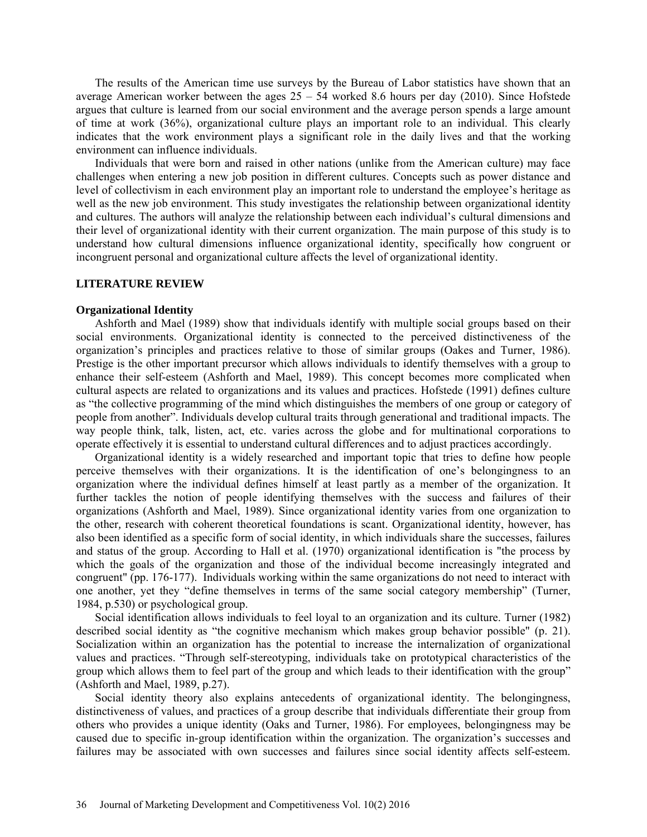The results of the American time use surveys by the Bureau of Labor statistics have shown that an average American worker between the ages  $25 - 54$  worked 8.6 hours per day (2010). Since Hofstede argues that culture is learned from our social environment and the average person spends a large amount of time at work (36%), organizational culture plays an important role to an individual. This clearly indicates that the work environment plays a significant role in the daily lives and that the working environment can influence individuals.

Individuals that were born and raised in other nations (unlike from the American culture) may face challenges when entering a new job position in different cultures. Concepts such as power distance and level of collectivism in each environment play an important role to understand the employee's heritage as well as the new job environment. This study investigates the relationship between organizational identity and cultures. The authors will analyze the relationship between each individual's cultural dimensions and their level of organizational identity with their current organization. The main purpose of this study is to understand how cultural dimensions influence organizational identity, specifically how congruent or incongruent personal and organizational culture affects the level of organizational identity.

#### **LITERATURE REVIEW**

#### **Organizational Identity**

Ashforth and Mael (1989) show that individuals identify with multiple social groups based on their social environments. Organizational identity is connected to the perceived distinctiveness of the organization's principles and practices relative to those of similar groups (Oakes and Turner, 1986). Prestige is the other important precursor which allows individuals to identify themselves with a group to enhance their self-esteem (Ashforth and Mael, 1989). This concept becomes more complicated when cultural aspects are related to organizations and its values and practices. Hofstede (1991) defines culture as "the collective programming of the mind which distinguishes the members of one group or category of people from another". Individuals develop cultural traits through generational and traditional impacts. The way people think, talk, listen, act, etc. varies across the globe and for multinational corporations to operate effectively it is essential to understand cultural differences and to adjust practices accordingly.

Organizational identity is a widely researched and important topic that tries to define how people perceive themselves with their organizations. It is the identification of one's belongingness to an organization where the individual defines himself at least partly as a member of the organization. It further tackles the notion of people identifying themselves with the success and failures of their organizations (Ashforth and Mael, 1989). Since organizational identity varies from one organization to the other*,* research with coherent theoretical foundations is scant. Organizational identity, however, has also been identified as a specific form of social identity, in which individuals share the successes, failures and status of the group. According to Hall et al. (1970) organizational identification is "the process by which the goals of the organization and those of the individual become increasingly integrated and congruent" (pp. 176-177). Individuals working within the same organizations do not need to interact with one another, yet they "define themselves in terms of the same social category membership" (Turner, 1984, p.530) or psychological group.

Social identification allows individuals to feel loyal to an organization and its culture. Turner (1982) described social identity as "the cognitive mechanism which makes group behavior possible" (p. 21). Socialization within an organization has the potential to increase the internalization of organizational values and practices. "Through self-stereotyping, individuals take on prototypical characteristics of the group which allows them to feel part of the group and which leads to their identification with the group" (Ashforth and Mael, 1989, p.27).

Social identity theory also explains antecedents of organizational identity. The belongingness, distinctiveness of values, and practices of a group describe that individuals differentiate their group from others who provides a unique identity (Oaks and Turner, 1986). For employees, belongingness may be caused due to specific in-group identification within the organization. The organization's successes and failures may be associated with own successes and failures since social identity affects self-esteem.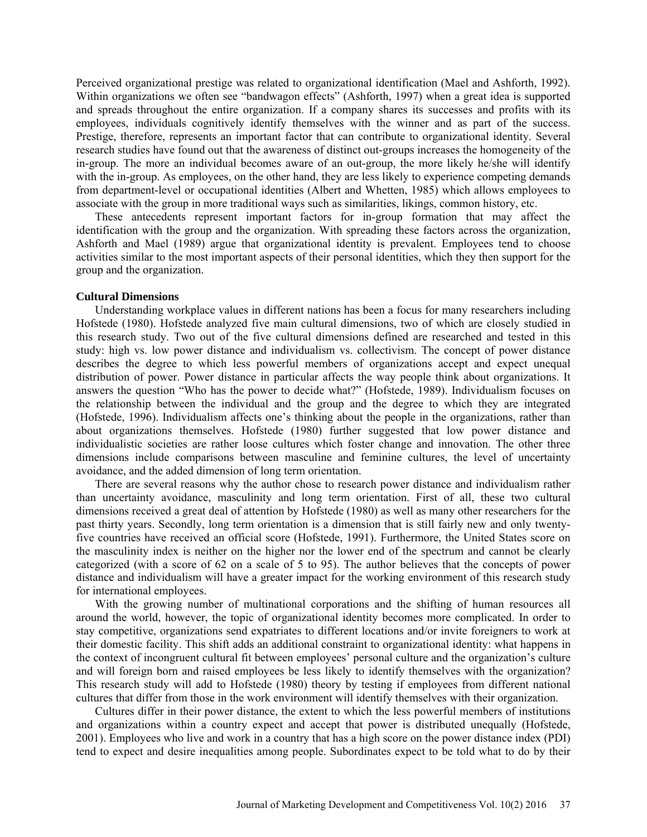Perceived organizational prestige was related to organizational identification (Mael and Ashforth, 1992). Within organizations we often see "bandwagon effects" (Ashforth, 1997) when a great idea is supported and spreads throughout the entire organization. If a company shares its successes and profits with its employees, individuals cognitively identify themselves with the winner and as part of the success. Prestige, therefore, represents an important factor that can contribute to organizational identity. Several research studies have found out that the awareness of distinct out-groups increases the homogeneity of the in-group. The more an individual becomes aware of an out-group, the more likely he/she will identify with the in-group. As employees, on the other hand, they are less likely to experience competing demands from department-level or occupational identities (Albert and Whetten, 1985) which allows employees to associate with the group in more traditional ways such as similarities, likings, common history, etc.

These antecedents represent important factors for in-group formation that may affect the identification with the group and the organization. With spreading these factors across the organization, Ashforth and Mael (1989) argue that organizational identity is prevalent. Employees tend to choose activities similar to the most important aspects of their personal identities, which they then support for the group and the organization.

## **Cultural Dimensions**

Understanding workplace values in different nations has been a focus for many researchers including Hofstede (1980). Hofstede analyzed five main cultural dimensions, two of which are closely studied in this research study. Two out of the five cultural dimensions defined are researched and tested in this study: high vs. low power distance and individualism vs. collectivism. The concept of power distance describes the degree to which less powerful members of organizations accept and expect unequal distribution of power. Power distance in particular affects the way people think about organizations. It answers the question "Who has the power to decide what?" (Hofstede, 1989). Individualism focuses on the relationship between the individual and the group and the degree to which they are integrated (Hofstede, 1996). Individualism affects one's thinking about the people in the organizations, rather than about organizations themselves. Hofstede (1980) further suggested that low power distance and individualistic societies are rather loose cultures which foster change and innovation. The other three dimensions include comparisons between masculine and feminine cultures, the level of uncertainty avoidance, and the added dimension of long term orientation.

There are several reasons why the author chose to research power distance and individualism rather than uncertainty avoidance, masculinity and long term orientation. First of all, these two cultural dimensions received a great deal of attention by Hofstede (1980) as well as many other researchers for the past thirty years. Secondly, long term orientation is a dimension that is still fairly new and only twentyfive countries have received an official score (Hofstede, 1991). Furthermore, the United States score on the masculinity index is neither on the higher nor the lower end of the spectrum and cannot be clearly categorized (with a score of 62 on a scale of 5 to 95). The author believes that the concepts of power distance and individualism will have a greater impact for the working environment of this research study for international employees.

With the growing number of multinational corporations and the shifting of human resources all around the world, however, the topic of organizational identity becomes more complicated. In order to stay competitive, organizations send expatriates to different locations and/or invite foreigners to work at their domestic facility. This shift adds an additional constraint to organizational identity: what happens in the context of incongruent cultural fit between employees' personal culture and the organization's culture and will foreign born and raised employees be less likely to identify themselves with the organization? This research study will add to Hofstede (1980) theory by testing if employees from different national cultures that differ from those in the work environment will identify themselves with their organization.

Cultures differ in their power distance, the extent to which the less powerful members of institutions and organizations within a country expect and accept that power is distributed unequally (Hofstede, 2001). Employees who live and work in a country that has a high score on the power distance index (PDI) tend to expect and desire inequalities among people. Subordinates expect to be told what to do by their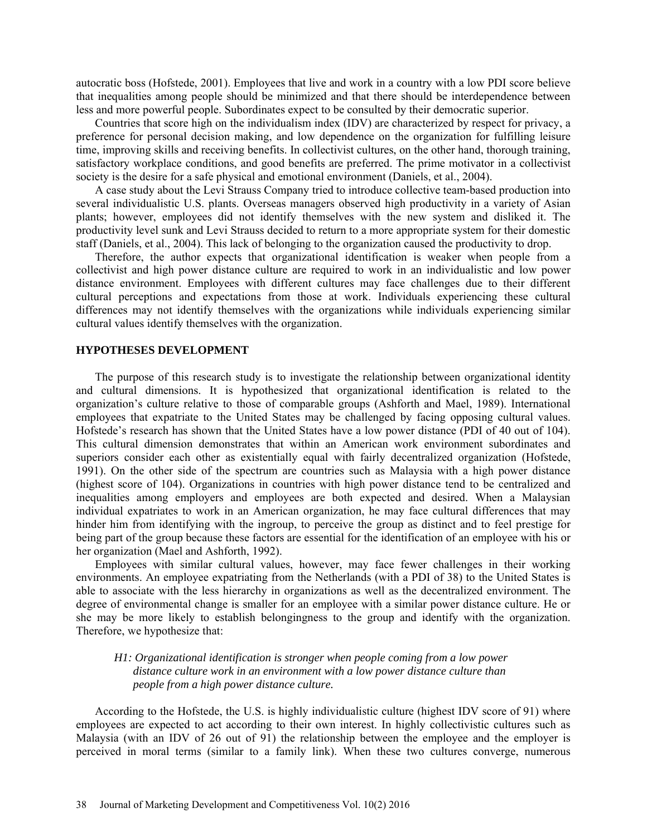autocratic boss (Hofstede, 2001). Employees that live and work in a country with a low PDI score believe that inequalities among people should be minimized and that there should be interdependence between less and more powerful people. Subordinates expect to be consulted by their democratic superior.

Countries that score high on the individualism index (IDV) are characterized by respect for privacy, a preference for personal decision making, and low dependence on the organization for fulfilling leisure time, improving skills and receiving benefits. In collectivist cultures, on the other hand, thorough training, satisfactory workplace conditions, and good benefits are preferred. The prime motivator in a collectivist society is the desire for a safe physical and emotional environment (Daniels, et al., 2004).

A case study about the Levi Strauss Company tried to introduce collective team-based production into several individualistic U.S. plants. Overseas managers observed high productivity in a variety of Asian plants; however, employees did not identify themselves with the new system and disliked it. The productivity level sunk and Levi Strauss decided to return to a more appropriate system for their domestic staff (Daniels, et al., 2004). This lack of belonging to the organization caused the productivity to drop.

Therefore, the author expects that organizational identification is weaker when people from a collectivist and high power distance culture are required to work in an individualistic and low power distance environment. Employees with different cultures may face challenges due to their different cultural perceptions and expectations from those at work. Individuals experiencing these cultural differences may not identify themselves with the organizations while individuals experiencing similar cultural values identify themselves with the organization.

### **HYPOTHESES DEVELOPMENT**

The purpose of this research study is to investigate the relationship between organizational identity and cultural dimensions. It is hypothesized that organizational identification is related to the organization's culture relative to those of comparable groups (Ashforth and Mael, 1989). International employees that expatriate to the United States may be challenged by facing opposing cultural values. Hofstede's research has shown that the United States have a low power distance (PDI of 40 out of 104). This cultural dimension demonstrates that within an American work environment subordinates and superiors consider each other as existentially equal with fairly decentralized organization (Hofstede, 1991). On the other side of the spectrum are countries such as Malaysia with a high power distance (highest score of 104). Organizations in countries with high power distance tend to be centralized and inequalities among employers and employees are both expected and desired. When a Malaysian individual expatriates to work in an American organization, he may face cultural differences that may hinder him from identifying with the ingroup, to perceive the group as distinct and to feel prestige for being part of the group because these factors are essential for the identification of an employee with his or her organization (Mael and Ashforth, 1992).

Employees with similar cultural values, however, may face fewer challenges in their working environments. An employee expatriating from the Netherlands (with a PDI of 38) to the United States is able to associate with the less hierarchy in organizations as well as the decentralized environment. The degree of environmental change is smaller for an employee with a similar power distance culture. He or she may be more likely to establish belongingness to the group and identify with the organization. Therefore, we hypothesize that:

## *H1: Organizational identification is stronger when people coming from a low power distance culture work in an environment with a low power distance culture than people from a high power distance culture.*

According to the Hofstede, the U.S. is highly individualistic culture (highest IDV score of 91) where employees are expected to act according to their own interest. In highly collectivistic cultures such as Malaysia (with an IDV of 26 out of 91) the relationship between the employee and the employer is perceived in moral terms (similar to a family link). When these two cultures converge, numerous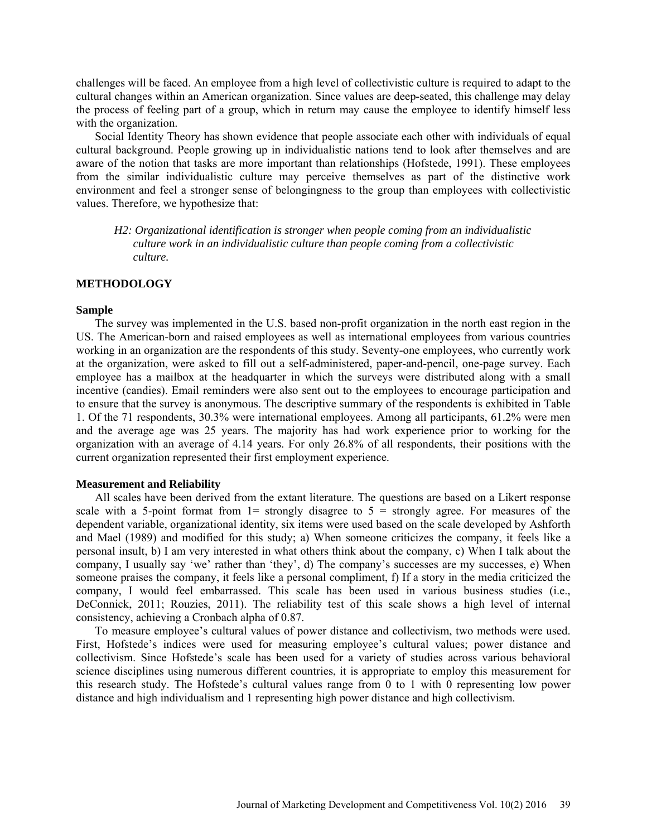challenges will be faced. An employee from a high level of collectivistic culture is required to adapt to the cultural changes within an American organization. Since values are deep-seated, this challenge may delay the process of feeling part of a group, which in return may cause the employee to identify himself less with the organization.

Social Identity Theory has shown evidence that people associate each other with individuals of equal cultural background. People growing up in individualistic nations tend to look after themselves and are aware of the notion that tasks are more important than relationships (Hofstede, 1991). These employees from the similar individualistic culture may perceive themselves as part of the distinctive work environment and feel a stronger sense of belongingness to the group than employees with collectivistic values. Therefore, we hypothesize that:

*H2: Organizational identification is stronger when people coming from an individualistic culture work in an individualistic culture than people coming from a collectivistic culture.*

#### **METHODOLOGY**

#### **Sample**

The survey was implemented in the U.S. based non-profit organization in the north east region in the US. The American-born and raised employees as well as international employees from various countries working in an organization are the respondents of this study. Seventy-one employees, who currently work at the organization, were asked to fill out a self-administered, paper-and-pencil, one-page survey. Each employee has a mailbox at the headquarter in which the surveys were distributed along with a small incentive (candies). Email reminders were also sent out to the employees to encourage participation and to ensure that the survey is anonymous. The descriptive summary of the respondents is exhibited in Table 1. Of the 71 respondents, 30.3% were international employees. Among all participants, 61.2% were men and the average age was 25 years. The majority has had work experience prior to working for the organization with an average of 4.14 years. For only 26.8% of all respondents, their positions with the current organization represented their first employment experience.

#### **Measurement and Reliability**

All scales have been derived from the extant literature. The questions are based on a Likert response scale with a 5-point format from  $1=$  strongly disagree to  $5 =$  strongly agree. For measures of the dependent variable, organizational identity, six items were used based on the scale developed by Ashforth and Mael (1989) and modified for this study; a) When someone criticizes the company, it feels like a personal insult, b) I am very interested in what others think about the company, c) When I talk about the company, I usually say 'we' rather than 'they', d) The company's successes are my successes, e) When someone praises the company, it feels like a personal compliment, f) If a story in the media criticized the company, I would feel embarrassed. This scale has been used in various business studies (i.e., DeConnick, 2011; Rouzies, 2011). The reliability test of this scale shows a high level of internal consistency, achieving a Cronbach alpha of 0.87.

To measure employee's cultural values of power distance and collectivism, two methods were used. First, Hofstede's indices were used for measuring employee's cultural values; power distance and collectivism. Since Hofstede's scale has been used for a variety of studies across various behavioral science disciplines using numerous different countries, it is appropriate to employ this measurement for this research study. The Hofstede's cultural values range from 0 to 1 with 0 representing low power distance and high individualism and 1 representing high power distance and high collectivism.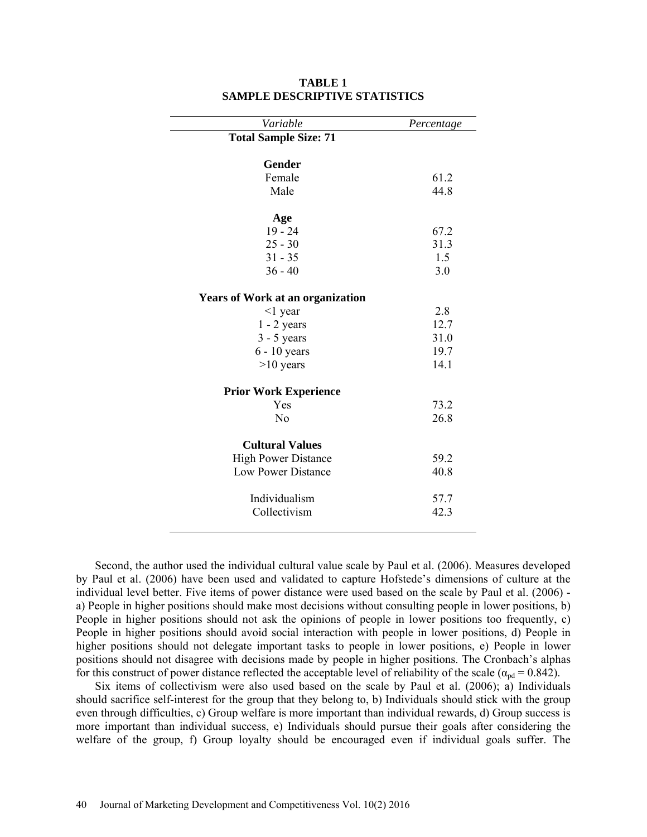| Variable                                | Percentage |
|-----------------------------------------|------------|
| <b>Total Sample Size: 71</b>            |            |
| Gender                                  |            |
| Female                                  | 61.2       |
| Male                                    | 44.8       |
|                                         |            |
| Age<br>$19 - 24$                        | 67.2       |
| $25 - 30$                               | 31.3       |
| $31 - 35$                               | 1.5        |
| $36 - 40$                               | 3.0        |
|                                         |            |
| <b>Years of Work at an organization</b> |            |
| $<$ 1 year                              | 2.8        |
| $1 - 2$ years                           | 12.7       |
| $3 - 5$ years                           | 31.0       |
| $6 - 10$ years                          | 19.7       |
| $>10$ years                             | 14.1       |
| <b>Prior Work Experience</b>            |            |
| Yes                                     | 73.2       |
| No                                      | 26.8       |
| <b>Cultural Values</b>                  |            |
| <b>High Power Distance</b>              | 59.2       |
| <b>Low Power Distance</b>               | 40.8       |
|                                         |            |
| Individualism                           | 57.7       |
| Collectivism                            | 42.3       |
|                                         |            |

### **TABLE 1 SAMPLE DESCRIPTIVE STATISTICS**

Second, the author used the individual cultural value scale by Paul et al. (2006). Measures developed by Paul et al. (2006) have been used and validated to capture Hofstede's dimensions of culture at the individual level better. Five items of power distance were used based on the scale by Paul et al. (2006) a) People in higher positions should make most decisions without consulting people in lower positions, b) People in higher positions should not ask the opinions of people in lower positions too frequently, c) People in higher positions should avoid social interaction with people in lower positions, d) People in higher positions should not delegate important tasks to people in lower positions, e) People in lower positions should not disagree with decisions made by people in higher positions. The Cronbach's alphas for this construct of power distance reflected the acceptable level of reliability of the scale ( $\alpha_{\text{pd}} = 0.842$ ).

Six items of collectivism were also used based on the scale by Paul et al. (2006); a) Individuals should sacrifice self-interest for the group that they belong to, b) Individuals should stick with the group even through difficulties, c) Group welfare is more important than individual rewards, d) Group success is more important than individual success, e) Individuals should pursue their goals after considering the welfare of the group, f) Group loyalty should be encouraged even if individual goals suffer. The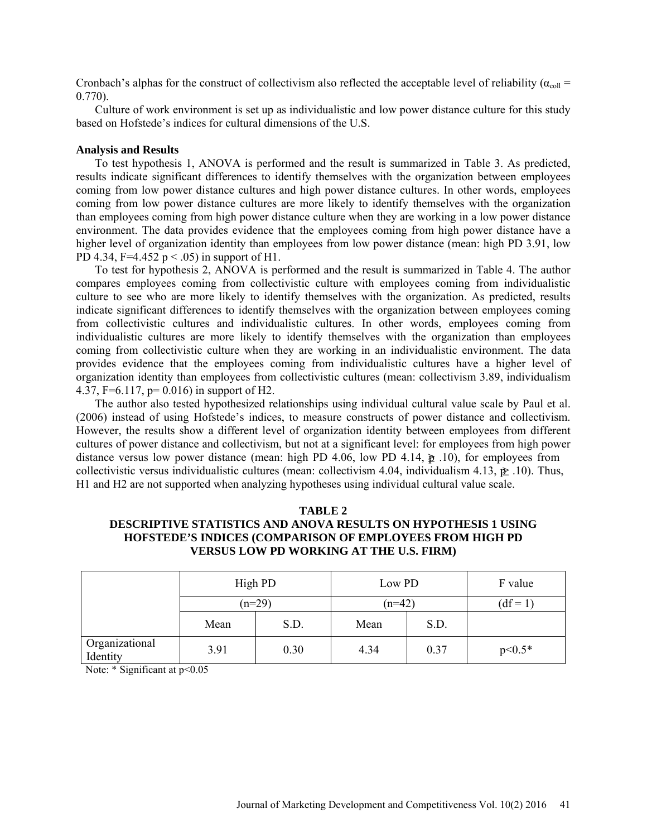Cronbach's alphas for the construct of collectivism also reflected the acceptable level of reliability ( $\alpha_{\text{coll}}$  = 0.770).

Culture of work environment is set up as individualistic and low power distance culture for this study based on Hofstede's indices for cultural dimensions of the U.S.

#### **Analysis and Results**

To test hypothesis 1, ANOVA is performed and the result is summarized in Table 3. As predicted, results indicate significant differences to identify themselves with the organization between employees coming from low power distance cultures and high power distance cultures. In other words, employees coming from low power distance cultures are more likely to identify themselves with the organization than employees coming from high power distance culture when they are working in a low power distance environment. The data provides evidence that the employees coming from high power distance have a higher level of organization identity than employees from low power distance (mean: high PD 3.91, low PD 4.34, F=4.452  $p < .05$ ) in support of H1.

To test for hypothesis 2, ANOVA is performed and the result is summarized in Table 4. The author compares employees coming from collectivistic culture with employees coming from individualistic culture to see who are more likely to identify themselves with the organization. As predicted, results indicate significant differences to identify themselves with the organization between employees coming from collectivistic cultures and individualistic cultures. In other words, employees coming from individualistic cultures are more likely to identify themselves with the organization than employees coming from collectivistic culture when they are working in an individualistic environment. The data provides evidence that the employees coming from individualistic cultures have a higher level of organization identity than employees from collectivistic cultures (mean: collectivism 3.89, individualism 4.37, F=6.117, p= 0.016) in support of H2.

The author also tested hypothesized relationships using individual cultural value scale by Paul et al. (2006) instead of using Hofstede's indices, to measure constructs of power distance and collectivism. However, the results show a different level of organization identity between employees from different cultures of power distance and collectivism, but not at a significant level: for employees from high power distance versus low power distance (mean: high PD 4.06, low PD 4.14,  $\hat{p}$  .10), for employees from collectivistic versus individualistic cultures (mean: collectivism 4.04, individualism 4.13,  $\hat{\mathbf{p}}$  .10). Thus, H1 and H2 are not supported when analyzing hypotheses using individual cultural value scale.

## **TABLE 2 DESCRIPTIVE STATISTICS AND ANOVA RESULTS ON HYPOTHESIS 1 USING HOFSTEDE'S INDICES (COMPARISON OF EMPLOYEES FROM HIGH PD VERSUS LOW PD WORKING AT THE U.S. FIRM)**

|                            | High PD<br>$(n=29)$ |      | Low PD<br>$(n=42)$ |      | F value    |
|----------------------------|---------------------|------|--------------------|------|------------|
|                            |                     |      |                    |      | $(df=1)$   |
|                            | Mean                | S.D. | Mean               | S.D. |            |
| Organizational<br>Identity | 3.91                | 0.30 | 4.34               | 0.37 | $p < 0.5*$ |

Note: \* Significant at  $p<0.05$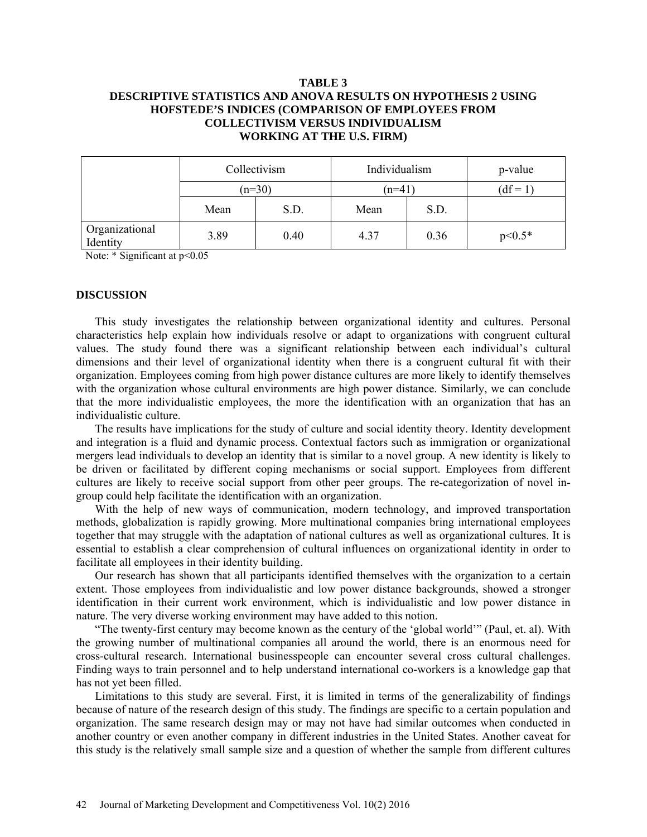## **TABLE 3 DESCRIPTIVE STATISTICS AND ANOVA RESULTS ON HYPOTHESIS 2 USING HOFSTEDE'S INDICES (COMPARISON OF EMPLOYEES FROM COLLECTIVISM VERSUS INDIVIDUALISM WORKING AT THE U.S. FIRM)**

|                            | Collectivism<br>$(n=30)$ |      | Individualism<br>$(n=41)$ |      | p-value    |
|----------------------------|--------------------------|------|---------------------------|------|------------|
|                            |                          |      |                           |      | $(df=1)$   |
|                            | Mean                     | S.D. | Mean                      | S.D. |            |
| Organizational<br>Identity | 3.89                     | 0.40 | 4.37                      | 0.36 | $p < 0.5*$ |

Note: \* Significant at  $p<0.05$ 

#### **DISCUSSION**

This study investigates the relationship between organizational identity and cultures. Personal characteristics help explain how individuals resolve or adapt to organizations with congruent cultural values. The study found there was a significant relationship between each individual's cultural dimensions and their level of organizational identity when there is a congruent cultural fit with their organization. Employees coming from high power distance cultures are more likely to identify themselves with the organization whose cultural environments are high power distance. Similarly, we can conclude that the more individualistic employees, the more the identification with an organization that has an individualistic culture.

The results have implications for the study of culture and social identity theory. Identity development and integration is a fluid and dynamic process. Contextual factors such as immigration or organizational mergers lead individuals to develop an identity that is similar to a novel group. A new identity is likely to be driven or facilitated by different coping mechanisms or social support. Employees from different cultures are likely to receive social support from other peer groups. The re-categorization of novel ingroup could help facilitate the identification with an organization.

With the help of new ways of communication, modern technology, and improved transportation methods, globalization is rapidly growing. More multinational companies bring international employees together that may struggle with the adaptation of national cultures as well as organizational cultures. It is essential to establish a clear comprehension of cultural influences on organizational identity in order to facilitate all employees in their identity building.

Our research has shown that all participants identified themselves with the organization to a certain extent. Those employees from individualistic and low power distance backgrounds, showed a stronger identification in their current work environment, which is individualistic and low power distance in nature. The very diverse working environment may have added to this notion.

"The twenty-first century may become known as the century of the 'global world'" (Paul, et. al). With the growing number of multinational companies all around the world, there is an enormous need for cross-cultural research. International businesspeople can encounter several cross cultural challenges. Finding ways to train personnel and to help understand international co-workers is a knowledge gap that has not yet been filled.

Limitations to this study are several. First, it is limited in terms of the generalizability of findings because of nature of the research design of this study. The findings are specific to a certain population and organization. The same research design may or may not have had similar outcomes when conducted in another country or even another company in different industries in the United States. Another caveat for this study is the relatively small sample size and a question of whether the sample from different cultures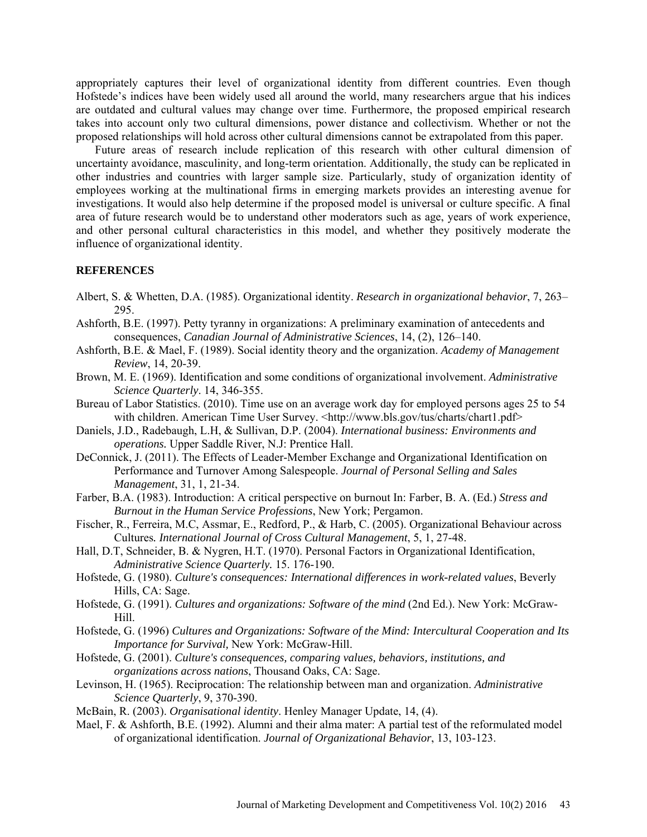appropriately captures their level of organizational identity from different countries. Even though Hofstede's indices have been widely used all around the world, many researchers argue that his indices are outdated and cultural values may change over time. Furthermore, the proposed empirical research takes into account only two cultural dimensions, power distance and collectivism. Whether or not the proposed relationships will hold across other cultural dimensions cannot be extrapolated from this paper.

Future areas of research include replication of this research with other cultural dimension of uncertainty avoidance, masculinity, and long-term orientation. Additionally, the study can be replicated in other industries and countries with larger sample size. Particularly, study of organization identity of employees working at the multinational firms in emerging markets provides an interesting avenue for investigations. It would also help determine if the proposed model is universal or culture specific. A final area of future research would be to understand other moderators such as age, years of work experience, and other personal cultural characteristics in this model, and whether they positively moderate the influence of organizational identity.

#### **REFERENCES**

- Albert, S. & Whetten, D.A. (1985). Organizational identity. *Research in organizational behavior*, 7, 263– 295.
- Ashforth, B.E. (1997). Petty tyranny in organizations: A preliminary examination of antecedents and consequences, *Canadian Journal of Administrative Sciences*, 14, (2), 126–140.
- Ashforth, B.E. & Mael, F. (1989). Social identity theory and the organization. *Academy of Management Review*, 14, 20-39.
- Brown, M. E. (1969). Identification and some conditions of organizational involvement. *Administrative Science Quarterly*. 14, 346-355.
- Bureau of Labor Statistics. (2010). Time use on an average work day for employed persons ages 25 to 54 with children. American Time User Survey. [<http://www.bls.gov/tus/charts/chart1.pdf>](http://www.bls.gov/tus/charts/chart1.pdf)
- Daniels, J.D., Radebaugh, L.H, & Sullivan, D.P. (2004). *International business: Environments and operations.* Upper Saddle River, N.J: Prentice Hall.
- DeConnick, J. (2011). The Effects of Leader-Member Exchange and Organizational Identification on Performance and Turnover Among Salespeople. *Journal of Personal Selling and Sales Management*, 31, 1, 21-34.
- Farber, B.A. (1983). Introduction: A critical perspective on burnout In: Farber, B. A. (Ed.) *Stress and Burnout in the Human Service Professions*, New York; Pergamon.
- Fischer, R., Ferreira, M.C, Assmar, E., Redford, P., & Harb, C. (2005). Organizational Behaviour across Cultures*. International Journal of Cross Cultural Management*, 5, 1, 27-48.
- Hall, D.T, Schneider, B. & Nygren, H.T. (1970). Personal Factors in Organizational Identification, *Administrative Science Quarterly.* 15. 176-190.
- Hofstede, G. (1980). *Culture's consequences: International differences in work-related values*, Beverly Hills, CA: Sage.
- Hofstede, G. (1991). *Cultures and organizations: Software of the mind* (2nd Ed.). New York: McGraw-Hill.
- Hofstede, G. (1996) *[Cultures and Organizations: Software of the Mind: Intercultural Cooperation and Its](http://www.amazon.com/exec/obidos/ASIN/0070293074/help4u-20)  Importance for Survival,* New York: McGraw-Hill.
- Hofstede, G. (2001). *Culture's consequences, comparing values, behaviors, institutions, and organizations across nations*, Thousand Oaks, CA: Sage.
- Levinson, H. (1965). Reciprocation: The relationship between man and organization. *Administrative Science Quarterly*, 9, 370-390.
- McBain, R. (2003). *Organisational identity*. Henley Manager Update, 14, (4).
- Mael, F. & Ashforth, B.E. (1992). Alumni and their alma mater: A partial test of the reformulated model of organizational identification. *Journal of Organizational Behavior*, 13, 103-123.